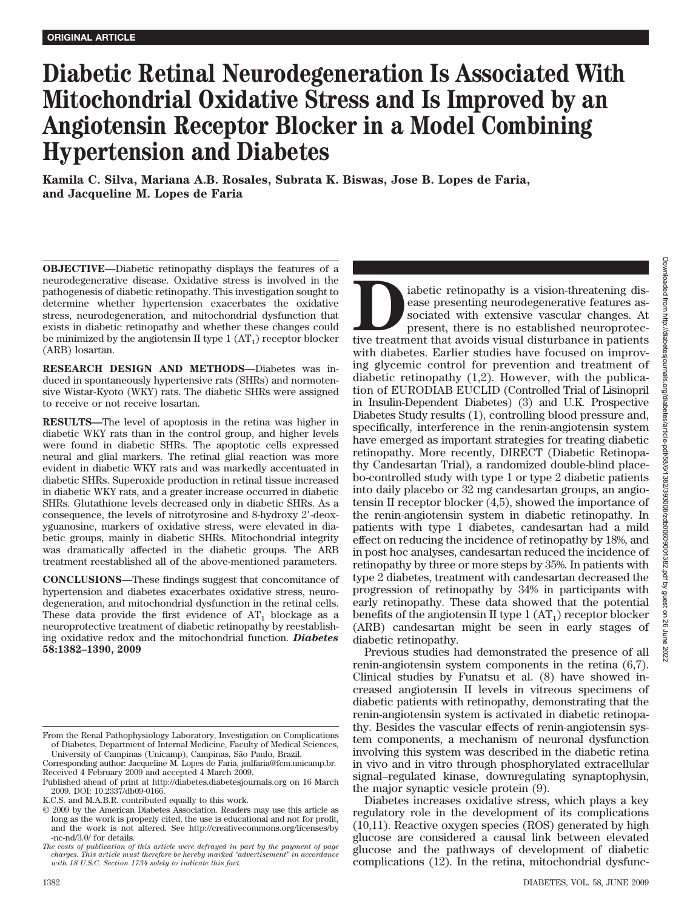# **Diabetic Retinal Neurodegeneration Is Associated With Mitochondrial Oxidative Stress and Is Improved by an Angiotensin Receptor Blocker in a Model Combining Hypertension and Diabetes**

**Kamila C. Silva, Mariana A.B. Rosales, Subrata K. Biswas, Jose B. Lopes de Faria, and Jacqueline M. Lopes de Faria**

**OBJECTIVE—**Diabetic retinopathy displays the features of a neurodegenerative disease. Oxidative stress is involved in the pathogenesis of diabetic retinopathy. This investigation sought to determine whether hypertension exacerbates the oxidative stress, neurodegeneration, and mitochondrial dysfunction that exists in diabetic retinopathy and whether these changes could be minimized by the angiotensin II type  $1 (AT<sub>1</sub>)$  receptor blocker (ARB) losartan.

**RESEARCH DESIGN AND METHODS—**Diabetes was induced in spontaneously hypertensive rats (SHRs) and normotensive Wistar-Kyoto (WKY) rats. The diabetic SHRs were assigned to receive or not receive losartan.

**RESULTS—**The level of apoptosis in the retina was higher in diabetic WKY rats than in the control group, and higher levels were found in diabetic SHRs. The apoptotic cells expressed neural and glial markers. The retinal glial reaction was more evident in diabetic WKY rats and was markedly accentuated in diabetic SHRs. Superoxide production in retinal tissue increased in diabetic WKY rats, and a greater increase occurred in diabetic SHRs. Glutathione levels decreased only in diabetic SHRs. As a consequence, the levels of nitrotyrosine and 8-hydroxy 2-deoxyguanosine, markers of oxidative stress, were elevated in diabetic groups, mainly in diabetic SHRs. Mitochondrial integrity was dramatically affected in the diabetic groups. The ARB treatment reestablished all of the above-mentioned parameters.

**CONCLUSIONS—**These findings suggest that concomitance of hypertension and diabetes exacerbates oxidative stress, neurodegeneration, and mitochondrial dysfunction in the retinal cells. These data provide the first evidence of  $AT_1$  blockage as a neuroprotective treatment of diabetic retinopathy by reestablishing oxidative redox and the mitochondrial function. *Diabetes* **58:1382–1390, 2009**

Figure 1 intervalse as presenting retired as a sociated with extensive vascular changes. At present, there is no established neuroprotective treatment that avoids visual disturbance in patients ease presenting neurodegenerative features associated with extensive vascular changes. At present, there is no established neuroprotecwith diabetes. Earlier studies have focused on improving glycemic control for prevention and treatment of diabetic retinopathy (1,2). However, with the publication of EURODIAB EUCLID (Controlled Trial of Lisinopril in Insulin-Dependent Diabetes) (3) and U.K. Prospective Diabetes Study results (1), controlling blood pressure and, specifically, interference in the renin-angiotensin system have emerged as important strategies for treating diabetic retinopathy. More recently, DIRECT (Diabetic Retinopathy Candesartan Trial), a randomized double-blind placebo-controlled study with type 1 or type 2 diabetic patients into daily placebo or 32 mg candesartan groups, an angiotensin II receptor blocker (4,5), showed the importance of the renin-angiotensin system in diabetic retinopathy. In patients with type 1 diabetes, candesartan had a mild effect on reducing the incidence of retinopathy by 18%, and in post hoc analyses, candesartan reduced the incidence of retinopathy by three or more steps by 35%. In patients with type 2 diabetes, treatment with candesartan decreased the progression of retinopathy by 34% in participants with early retinopathy. These data showed that the potential benefits of the angiotensin II type  $1 (AT<sub>1</sub>)$  receptor blocker (ARB) candesartan might be seen in early stages of diabetic retinopathy.

Previous studies had demonstrated the presence of all renin-angiotensin system components in the retina (6,7). Clinical studies by Funatsu et al. (8) have showed increased angiotensin II levels in vitreous specimens of diabetic patients with retinopathy, demonstrating that the renin-angiotensin system is activated in diabetic retinopathy. Besides the vascular effects of renin-angiotensin system components, a mechanism of neuronal dysfunction involving this system was described in the diabetic retina in vivo and in vitro through phosphorylated extracellular signal–regulated kinase, downregulating synaptophysin, the major synaptic vesicle protein (9).

Diabetes increases oxidative stress, which plays a key regulatory role in the development of its complications (10,11). Reactive oxygen species (ROS) generated by high glucose are considered a causal link between elevated glucose and the pathways of development of diabetic complications (12). In the retina, mitochondrial dysfunc-

From the Renal Pathophysiology Laboratory, Investigation on Complications of Diabetes, Department of Internal Medicine, Faculty of Medical Sciences, University of Campinas (Unicamp), Campinas, São Paulo, Brazil.

Corresponding author: Jacqueline M. Lopes de Faria, jmlfaria@fcm.unicamp.br. Received 4 February 2009 and accepted 4 March 2009.

Published ahead of print at http://diabetes.diabetesjournals.org on 16 March 2009. DOI: 10.2337/db09-0166.

K.C.S. and M.A.B.R. contributed equally to this work.

<sup>© 2009</sup> by the American Diabetes Association. Readers may use this article as long as the work is properly cited, the use is educational and not for profit, and the work is not altered. See http://creativecommons.org/licenses/by -nc-nd/3.0/ for details.

*The costs of publication of this article were defrayed in part by the payment of page charges. This article must therefore be hereby marked "advertisement" in accordance with 18 U.S.C. Section 1734 solely to indicate this fact.*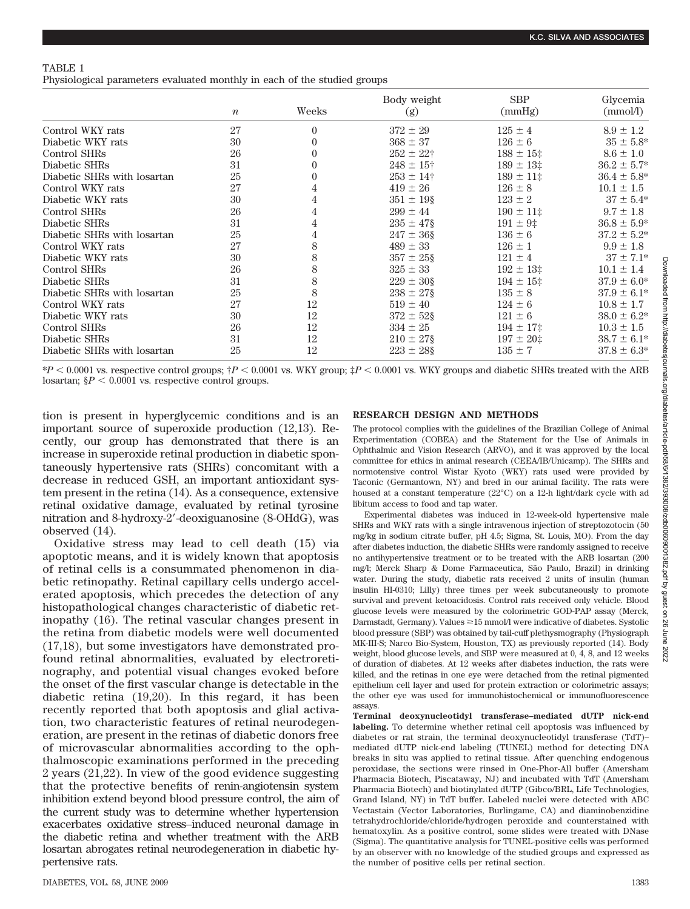|--|--|

Physiological parameters evaluated monthly in each of the studied groups

|                             | $\boldsymbol{n}$ | Weeks    | Body weight<br>(g) | <b>SBP</b><br>(mmHg) | Glycemia<br>(mmol/l) |
|-----------------------------|------------------|----------|--------------------|----------------------|----------------------|
| Control WKY rats            | 27               | $\theta$ | $372 \pm 29$       | $125 \pm 4$          | $8.9 \pm 1.2$        |
| Diabetic WKY rats           | 30               | 0        | $368 \pm 37$       | $126 \pm 6$          | $35 \pm 5.8^*$       |
| Control SHRs                | 26               |          | $252 \pm 22$ †     | $188 \pm 15$         | $8.6 \pm 1.0$        |
| Diabetic SHRs               | 31               | 0        | $248 \pm 15$ †     | $189 \pm 13$         | $36.2 \pm 5.7^*$     |
| Diabetic SHRs with losartan | 25               |          | $253 \pm 14$ †     | $189 \pm 11$ ‡       | $36.4 \pm 5.8^*$     |
| Control WKY rats            | 27               |          | $419 \pm 26$       | $126 \pm 8$          | $10.1 \pm 1.5$       |
| Diabetic WKY rats           | 30               |          | $351 \pm 198$      | $123 \pm 2$          | $37 \pm 5.4^*$       |
| Control SHRs                | 26               |          | $299 \pm 44$       | $190 \pm 11$ ‡       | $9.7 \pm 1.8$        |
| Diabetic SHRs               | 31               |          | $235 \pm 47\$      | $191 \pm 9$ ‡        | $36.8 \pm 5.9*$      |
| Diabetic SHRs with losartan | 25               | 4        | $247 \pm 36$ §     | $136 \pm 6$          | $37.2 \pm 5.2^*$     |
| Control WKY rats            | 27               | 8        | $489 \pm 33$       | $126 \pm 1$          | $9.9 \pm 1.8$        |
| Diabetic WKY rats           | 30               | 8        | $357 \pm 258$      | $121 \pm 4$          | $37 \pm 7.1*$        |
| Control SHRs                | 26               | 8        | $325 \pm 33$       | $192 \pm 13$ ‡       | $10.1 \pm 1.4$       |
| Diabetic SHRs               | 31               | 8        | $229 \pm 30$ §     | $194 \pm 15$ ‡       | $37.9 \pm 6.0^*$     |
| Diabetic SHRs with losartan | 25               | 8        | $238 \pm 27$       | $135 \pm 8$          | $37.9 \pm 6.1*$      |
| Control WKY rats            | 27               | 12       | $519 \pm 40$       | $124 \pm 6$          | $10.8 \pm 1.7$       |
| Diabetic WKY rats           | 30               | 12       | $372 \pm 52$       | $121 \pm 6$          | $38.0 \pm 6.2^*$     |
| Control SHRs                | 26               | 12       | $334 \pm 25$       | $194 \pm 17$ ‡       | $10.3 \pm 1.5$       |
| Diabetic SHRs               | 31               | 12       | $210 \pm 27$       | $197 \pm 20$ ‡       | $38.7 \pm 6.1*$      |
| Diabetic SHRs with losartan | 25               | 12       | $223 \pm 28$       | $135 \pm 7$          | $37.8 \pm 6.3^*$     |

\**P* 0.0001 vs. respective control groups; †*P* 0.0001 vs. WKY group; ‡*P* 0.0001 vs. WKY groups and diabetic SHRs treated with the ARB losartan;  $$P < 0.0001$  vs. respective control groups.

tion is present in hyperglycemic conditions and is an important source of superoxide production (12,13). Recently, our group has demonstrated that there is an increase in superoxide retinal production in diabetic spontaneously hypertensive rats (SHRs) concomitant with a decrease in reduced GSH, an important antioxidant system present in the retina (14). As a consequence, extensive retinal oxidative damage, evaluated by retinal tyrosine nitration and 8-hydroxy-2-deoxiguanosine (8-OHdG), was observed (14).

Oxidative stress may lead to cell death (15) via apoptotic means, and it is widely known that apoptosis of retinal cells is a consummated phenomenon in diabetic retinopathy. Retinal capillary cells undergo accelerated apoptosis, which precedes the detection of any histopathological changes characteristic of diabetic retinopathy (16). The retinal vascular changes present in the retina from diabetic models were well documented (17,18), but some investigators have demonstrated profound retinal abnormalities, evaluated by electroretinography, and potential visual changes evoked before the onset of the first vascular change is detectable in the diabetic retina (19,20). In this regard, it has been recently reported that both apoptosis and glial activation, two characteristic features of retinal neurodegeneration, are present in the retinas of diabetic donors free of microvascular abnormalities according to the ophthalmoscopic examinations performed in the preceding 2 years (21,22). In view of the good evidence suggesting that the protective benefits of renin-angiotensin system inhibition extend beyond blood pressure control, the aim of the current study was to determine whether hypertension exacerbates oxidative stress–induced neuronal damage in the diabetic retina and whether treatment with the ARB losartan abrogates retinal neurodegeneration in diabetic hypertensive rats.

# **RESEARCH DESIGN AND METHODS**

The protocol complies with the guidelines of the Brazilian College of Animal Experimentation (COBEA) and the Statement for the Use of Animals in Ophthalmic and Vision Research (ARVO), and it was approved by the local committee for ethics in animal research (CEEA/IB/Unicamp). The SHRs and normotensive control Wistar Kyoto (WKY) rats used were provided by Taconic (Germantown, NY) and bred in our animal facility. The rats were housed at a constant temperature (22°C) on a 12-h light/dark cycle with ad libitum access to food and tap water.

Experimental diabetes was induced in 12-week-old hypertensive male SHRs and WKY rats with a single intravenous injection of streptozotocin (50 mg/kg in sodium citrate buffer, pH 4.5; Sigma, St. Louis, MO). From the day after diabetes induction, the diabetic SHRs were randomly assigned to receive no antihypertensive treatment or to be treated with the ARB losartan (200 mg/l; Merck Sharp & Dome Farmaceutica, São Paulo, Brazil) in drinking water. During the study, diabetic rats received 2 units of insulin (human insulin HI-0310; Lilly) three times per week subcutaneously to promote survival and prevent ketoacidosis. Control rats received only vehicle. Blood glucose levels were measured by the colorimetric GOD-PAP assay (Merck, Darmstadt, Germany). Values  $\geq 15$  mmol/l were indicative of diabetes. Systolic blood pressure (SBP) was obtained by tail-cuff plethysmography (Physiograph MK-III-S; Narco Bio-System, Houston, TX) as previously reported (14). Body weight, blood glucose levels, and SBP were measured at 0, 4, 8, and 12 weeks of duration of diabetes. At 12 weeks after diabetes induction, the rats were killed, and the retinas in one eye were detached from the retinal pigmented epithelium cell layer and used for protein extraction or colorimetric assays; the other eye was used for immunohistochemical or immunofluorescence assays.

**Terminal deoxynucleotidyl transferase–mediated dUTP nick-end labeling.** To determine whether retinal cell apoptosis was influenced by diabetes or rat strain, the terminal deoxynucleotidyl transferase (TdT)– mediated dUTP nick-end labeling (TUNEL) method for detecting DNA breaks in situ was applied to retinal tissue. After quenching endogenous peroxidase, the sections were rinsed in One-Phor-All buffer (Amersham Pharmacia Biotech, Piscataway, NJ) and incubated with TdT (Amersham Pharmacia Biotech) and biotinylated dUTP (Gibco/BRL, Life Technologies, Grand Island, NY) in TdT buffer. Labeled nuclei were detected with ABC Vectastain (Vector Laboratories, Burlingame, CA) and diaminobenzidine tetrahydrochloride/chloride/hydrogen peroxide and counterstained with hematoxylin. As a positive control, some slides were treated with DNase (Sigma). The quantitative analysis for TUNEL-positive cells was performed by an observer with no knowledge of the studied groups and expressed as the number of positive cells per retinal section.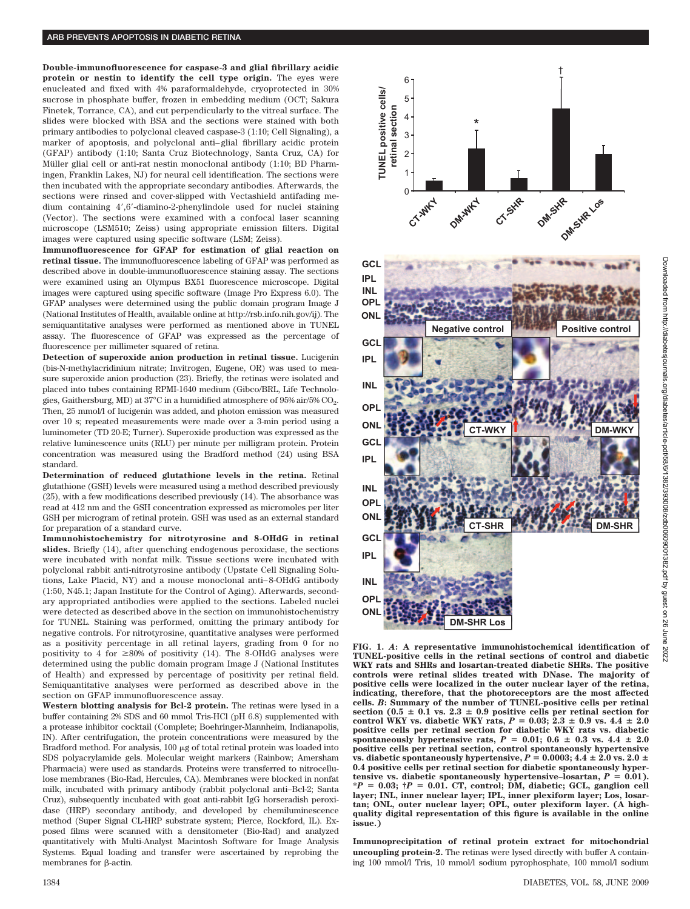**Double-immunofluorescence for caspase-3 and glial fibrillary acidic protein or nestin to identify the cell type origin.** The eyes were enucleated and fixed with 4% paraformaldehyde, cryoprotected in 30% sucrose in phosphate buffer, frozen in embedding medium (OCT; Sakura Finetek, Torrance, CA), and cut perpendicularly to the vitreal surface. The slides were blocked with BSA and the sections were stained with both primary antibodies to polyclonal cleaved caspase-3 (1:10; Cell Signaling), a marker of apoptosis, and polyclonal anti– glial fibrillary acidic protein (GFAP) antibody (1:10; Santa Cruz Biotechnology, Santa Cruz, CA) for Müller glial cell or anti-rat nestin monoclonal antibody (1:10; BD Pharmingen, Franklin Lakes, NJ) for neural cell identification. The sections were then incubated with the appropriate secondary antibodies. Afterwards, the sections were rinsed and cover-slipped with Vectashield antifading medium containing 4,6-diamino-2-phenylindole used for nuclei staining (Vector). The sections were examined with a confocal laser scanning microscope (LSM510; Zeiss) using appropriate emission filters. Digital images were captured using specific software (LSM; Zeiss).

**Immunofluorescence for GFAP for estimation of glial reaction on retinal tissue.** The immunofluorescence labeling of GFAP was performed as described above in double-immunofluorescence staining assay. The sections were examined using an Olympus BX51 fluorescence microscope. Digital images were captured using specific software (Image Pro Express 6.0). The GFAP analyses were determined using the public domain program Image J (National Institutes of Health, available online at http://rsb.info.nih.gov/ij). The semiquantitative analyses were performed as mentioned above in TUNEL assay. The fluorescence of GFAP was expressed as the percentage of fluorescence per millimeter squared of retina.

**Detection of superoxide anion production in retinal tissue.** Lucigenin (bis-N-methylacridinium nitrate; Invitrogen, Eugene, OR) was used to measure superoxide anion production (23). Briefly, the retinas were isolated and placed into tubes containing RPMI-1640 medium (Gibco/BRL, Life Technologies, Gaithersburg, MD) at 37°C in a humidified atmosphere of 95% air/5% CO<sub>2</sub>. Then, 25 mmol/l of lucigenin was added, and photon emission was measured over 10 s; repeated measurements were made over a 3-min period using a luminometer (TD 20-E; Turner). Superoxide production was expressed as the relative luminescence units (RLU) per minute per milligram protein. Protein concentration was measured using the Bradford method (24) using BSA standard.

**Determination of reduced glutathione levels in the retina.** Retinal glutathione (GSH) levels were measured using a method described previously (25), with a few modifications described previously (14). The absorbance was read at 412 nm and the GSH concentration expressed as micromoles per liter GSH per microgram of retinal protein. GSH was used as an external standard for preparation of a standard curve.

**Immunohistochemistry for nitrotyrosine and 8-OHdG in retinal slides.** Briefly (14), after quenching endogenous peroxidase, the sections were incubated with nonfat milk. Tissue sections were incubated with polyclonal rabbit anti-nitrotyrosine antibody (Upstate Cell Signaling Solutions, Lake Placid, NY) and a mouse monoclonal anti– 8-OHdG antibody (1:50, N45.1; Japan Institute for the Control of Aging). Afterwards, secondary appropriated antibodies were applied to the sections. Labeled nuclei were detected as described above in the section on immunohistochemistry for TUNEL. Staining was performed, omitting the primary antibody for negative controls. For nitrotyrosine, quantitative analyses were performed as a positivity percentage in all retinal layers, grading from 0 for no positivity to 4 for  $\geq 80\%$  of positivity (14). The 8-OHdG analyses were determined using the public domain program Image J (National Institutes of Health) and expressed by percentage of positivity per retinal field. Semiquantitative analyses were performed as described above in the section on GFAP immunofluorescence assay.

**Western blotting analysis for Bcl-2 protein.** The retinas were lysed in a buffer containing 2% SDS and 60 mmol Tris-HCl (pH 6.8) supplemented with a protease inhibitor cocktail (Complete; Boehringer-Mannheim, Indianapolis, IN). After centrifugation, the protein concentrations were measured by the Bradford method. For analysis,  $100 \mu$ g of total retinal protein was loaded into SDS polyacrylamide gels. Molecular weight markers (Rainbow; Amersham Pharmacia) were used as standards. Proteins were transferred to nitrocellulose membranes (Bio-Rad, Hercules, CA). Membranes were blocked in nonfat milk, incubated with primary antibody (rabbit polyclonal anti–Bcl-2; Santa Cruz), subsequently incubated with goat anti-rabbit IgG horseradish peroxidase (HRP) secondary antibody, and developed by chemiluminescence method (Super Signal CL-HRP substrate system; Pierce, Rockford, IL). Exposed films were scanned with a densitometer (Bio-Rad) and analyzed quantitatively with Multi-Analyst Macintosh Software for Image Analysis Systems. Equal loading and transfer were ascertained by reprobing the membranes for  $\beta$ -actin.



**FIG. 1.** *A***: A representative immunohistochemical identification of TUNEL-positive cells in the retinal sections of control and diabetic WKY rats and SHRs and losartan-treated diabetic SHRs. The positive controls were retinal slides treated with DNase. The majority of positive cells were localized in the outer nuclear layer of the retina, indicating, therefore, that the photoreceptors are the most affected cells.** *B***: Summary of the number of TUNEL-positive cells per retinal** section ( $0.5 \pm 0.1$  vs.  $2.3 \pm 0.9$  positive cells per retinal section for control WKY vs. diabetic WKY rats,  $P = 0.03$ ;  $2.3 \pm 0.9$  vs.  $4.4 \pm 2.0$ **positive cells per retinal section for diabetic WKY rats vs. diabetic** spontaneously hypertensive rats,  $P = 0.01$ ;  $0.6 \pm 0.3$  vs.  $4.4 \pm 2.0$ **positive cells per retinal section, control spontaneously hypertensive vs. diabetic spontaneously hypertensive,**  $P = 0.0003; 4.4 \pm 2.0$  **vs.**  $2.0 \pm$ **0.4 positive cells per retinal section for diabetic spontaneously hyper**tensive vs. diabetic spontaneously hypertensive-losartan,  $P = 0.01$ ). **\****P* - **0.03; †***P* - **0.01. CT, control; DM, diabetic; GCL, ganglion cell layer; INL, inner nuclear layer; IPL, inner plexiform layer; Los, losartan; ONL, outer nuclear layer; OPL, outer plexiform layer. (A highquality digital representation of this figure is available in the online issue.)**

**Immunoprecipitation of retinal protein extract for mitochondrial uncoupling protein-2.** The retinas were lysed directly with buffer A containing 100 mmol/l Tris, 10 mmol/l sodium pyrophosphate, 100 mmol/l sodium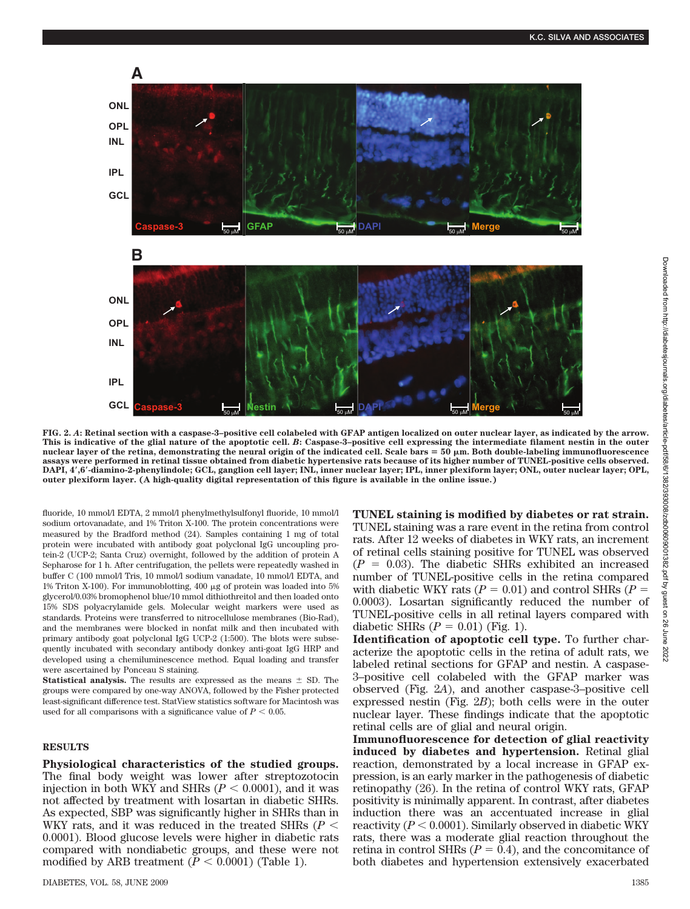

**FIG. 2.** *A***: Retinal section with a caspase-3–positive cell colabeled with GFAP antigen localized on outer nuclear layer, as indicated by the arrow. This is indicative of the glial nature of the apoptotic cell.** *B***: Caspase-3–positive cell expressing the intermediate filament nestin in the outer nuclear layer of the retina, demonstrating the neural origin of the indicated cell. Scale bars** - **50 m. Both double-labeling immunofluorescence assays were performed in retinal tissue obtained from diabetic hypertensive rats because of its higher number of TUNEL-positive cells observed. DAPI, 4,6-diamino-2-phenylindole; GCL, ganglion cell layer; INL, inner nuclear layer; IPL, inner plexiform layer; ONL, outer nuclear layer; OPL, outer plexiform layer. (A high-quality digital representation of this figure is available in the online issue.)**

fluoride, 10 mmol/l EDTA, 2 mmol/l phenylmethylsulfonyl fluoride, 10 mmol/l sodium ortovanadate, and 1% Triton X-100. The protein concentrations were measured by the Bradford method (24). Samples containing 1 mg of total protein were incubated with antibody goat polyclonal IgG uncoupling protein-2 (UCP-2; Santa Cruz) overnight, followed by the addition of protein A Sepharose for 1 h. After centrifugation, the pellets were repeatedly washed in buffer C (100 mmol/l Tris, 10 mmol/l sodium vanadate, 10 mmol/l EDTA, and 1% Triton X-100). For immunoblotting, 400  $\mu$ g of protein was loaded into 5% glycerol/0.03% bromophenol blue/10 mmol dithiothreitol and then loaded onto 15% SDS polyacrylamide gels. Molecular weight markers were used as standards. Proteins were transferred to nitrocellulose membranes (Bio-Rad), and the membranes were blocked in nonfat milk and then incubated with primary antibody goat polyclonal IgG UCP-2 (1:500). The blots were subsequently incubated with secondary antibody donkey anti-goat IgG HRP and developed using a chemiluminescence method. Equal loading and transfer were ascertained by Ponceau S staining.

**Statistical analysis.** The results are expressed as the means  $\pm$  SD. The groups were compared by one-way ANOVA, followed by the Fisher protected least-significant difference test. StatView statistics software for Macintosh was used for all comparisons with a significance value of  $P < 0.05$ .

## **RESULTS**

**Physiological characteristics of the studied groups.** The final body weight was lower after streptozotocin injection in both WKY and SHRs  $(P < 0.0001)$ , and it was not affected by treatment with losartan in diabetic SHRs. As expected, SBP was significantly higher in SHRs than in WKY rats, and it was reduced in the treated SHRs (*P* 0.0001). Blood glucose levels were higher in diabetic rats compared with nondiabetic groups, and these were not modified by ARB treatment ( $\overline{P}$  < 0.0001) (Table 1).

**TUNEL staining is modified by diabetes or rat strain.** TUNEL staining was a rare event in the retina from control rats. After 12 weeks of diabetes in WKY rats, an increment of retinal cells staining positive for TUNEL was observed  $(P = 0.03)$ . The diabetic SHRs exhibited an increased number of TUNEL-positive cells in the retina compared with diabetic WKY rats  $(P = 0.01)$  and control SHRs  $(P =$ 0.0003). Losartan significantly reduced the number of TUNEL-positive cells in all retinal layers compared with diabetic SHRs  $(P = 0.01)$  (Fig. 1).

**Identification of apoptotic cell type.** To further characterize the apoptotic cells in the retina of adult rats, we labeled retinal sections for GFAP and nestin. A caspase-3–positive cell colabeled with the GFAP marker was observed (Fig. 2*A*), and another caspase-3–positive cell expressed nestin (Fig. 2*B*); both cells were in the outer nuclear layer. These findings indicate that the apoptotic retinal cells are of glial and neural origin.

**Immunofluorescence for detection of glial reactivity induced by diabetes and hypertension.** Retinal glial reaction, demonstrated by a local increase in GFAP expression, is an early marker in the pathogenesis of diabetic retinopathy (26). In the retina of control WKY rats, GFAP positivity is minimally apparent. In contrast, after diabetes induction there was an accentuated increase in glial reactivity  $(P < 0.0001)$ . Similarly observed in diabetic WKY rats, there was a moderate glial reaction throughout the retina in control SHRs  $(P = 0.4)$ , and the concomitance of both diabetes and hypertension extensively exacerbated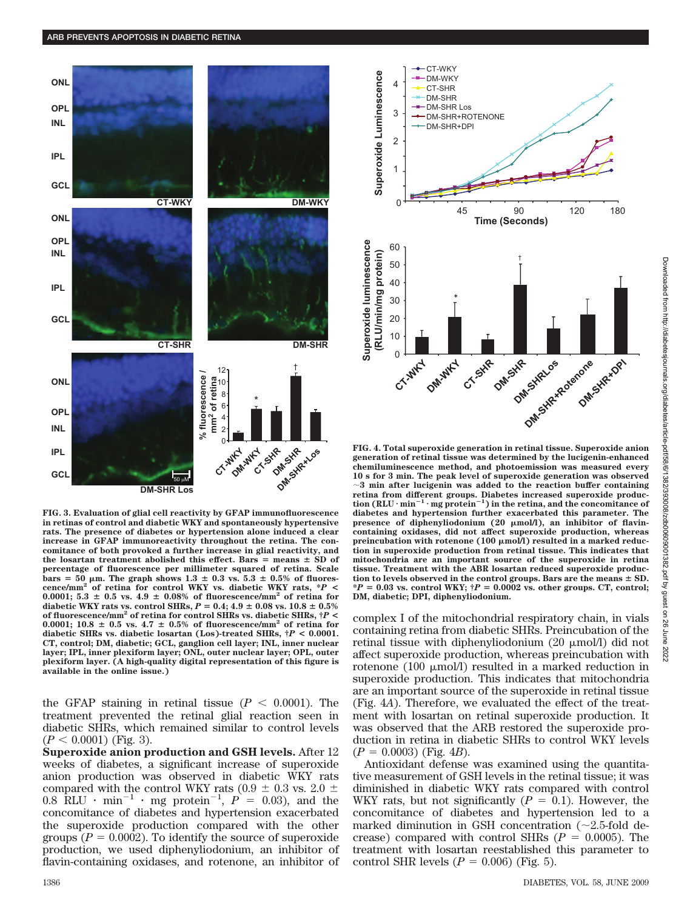

**FIG. 3. Evaluation of glial cell reactivity by GFAP immunofluorescence in retinas of control and diabetic WKY and spontaneously hypertensive rats. The presence of diabetes or hypertension alone induced a clear increase in GFAP immunoreactivity throughout the retina. The concomitance of both provoked a further increase in glial reactivity, and**  $t$ he losartan treatment abolished this effect. Bars  $=$  means  $\pm$  SD of **percentage of fluorescence per millimeter squared of retina. Scale**  $\text{bars} = 50 \ \mu \text{m}$ . The graph shows  $1.3 \pm 0.3 \text{ vs. } 5.3 \pm 0.5\%$  of fluores**cence/mm<sup>2</sup> of retina for control WKY vs. diabetic WKY rats, \****P* **<** 0.0001;  $5.3 \pm 0.5$  vs.  $4.9 \pm 0.08\%$  of fluorescence/mm<sup>2</sup> of retina for diabetic WKY rats vs. control SHRs,  $P = 0.4$ ;  $4.9 \pm 0.08$  vs.  $10.8 \pm 0.5\%$ **of fluorescence/mm2 of retina for control SHRs vs. diabetic SHRs, †***P* **<** 0.0001; 10.8  $\pm$  0.5 vs. 4.7  $\pm$  0.5% of fluorescence/mm<sup>2</sup> of retina for **diabetic SHRs vs. diabetic losartan (Los)-treated SHRs, †***P* **< 0.0001. CT, control; DM, diabetic; GCL, ganglion cell layer; INL, inner nuclear layer; IPL, inner plexiform layer; ONL, outer nuclear layer; OPL, outer plexiform layer. (A high-quality digital representation of this figure is available in the online issue.)**

the GFAP staining in retinal tissue  $(P < 0.0001)$ . The treatment prevented the retinal glial reaction seen in diabetic SHRs, which remained similar to control levels  $(P < 0.0001)$  (Fig. 3).

**Superoxide anion production and GSH levels.** After 12 weeks of diabetes, a significant increase of superoxide anion production was observed in diabetic WKY rats compared with the control WKY rats  $(0.9 \pm 0.3 \text{ vs. } 2.0 \pm 0.8 \text{ RLU} \cdot \text{min}^{-1} \cdot \text{mg protein}^{-1}, P = 0.03)$ , and the concomitance of diabetes and hypertension exacerbated the superoxide production compared with the other groups  $(P = 0.0002)$ . To identify the source of superoxide production, we used diphenyliodonium, an inhibitor of flavin-containing oxidases, and rotenone, an inhibitor of



**FIG. 4. Total superoxide generation in retinal tissue. Superoxide anion generation of retinal tissue was determined by the lucigenin-enhanced chemiluminescence method, and photoemission was measured every 10 s for 3 min. The peak level of superoxide generation was observed 3 min after lucigenin was added to the reaction buffer containing retina from different groups. Diabetes increased superoxide production (RLU** - **min<sup>1</sup>** - **mg protein<sup>1</sup> ) in the retina, and the concomitance of diabetes and hypertension further exacerbated this parameter. The** presence of diphenyliodonium (20  $\mu$ mol/l), an inhibitor of flavin**containing oxidases, did not affect superoxide production, whereas** preincubation with rotenone (100  $\mu$ mol/l) resulted in a marked reduc**tion in superoxide production from retinal tissue. This indicates that mitochondria are an important source of the superoxide in retina tissue. Treatment with the ABR losartan reduced superoxide produc**tion to levels observed in the control groups. Bars are the means  $\pm$  SD.  $*P = 0.03$  vs. control WKY;  $\dagger P = 0.0002$  vs. other groups. CT, control; **DM, diabetic; DPI, diphenyliodonium.**

complex I of the mitochondrial respiratory chain, in vials containing retina from diabetic SHRs. Preincubation of the retinal tissue with diphenyliodonium  $(20 \mu \text{mol/l})$  did not affect superoxide production, whereas preincubation with rotenone (100  $\mu$ mol/l) resulted in a marked reduction in superoxide production. This indicates that mitochondria are an important source of the superoxide in retinal tissue (Fig. 4*A*). Therefore, we evaluated the effect of the treatment with losartan on retinal superoxide production. It was observed that the ARB restored the superoxide production in retina in diabetic SHRs to control WKY levels  $(P = 0.0003)$  (Fig. 4*B*).

Antioxidant defense was examined using the quantitative measurement of GSH levels in the retinal tissue; it was diminished in diabetic WKY rats compared with control WKY rats, but not significantly  $(P = 0.1)$ . However, the concomitance of diabetes and hypertension led to a marked diminution in GSH concentration  $(\sim 2.5\text{-}fold$  decrease) compared with control SHRs  $(P = 0.0005)$ . The treatment with losartan reestablished this parameter to control SHR levels  $(P = 0.006)$  (Fig. 5).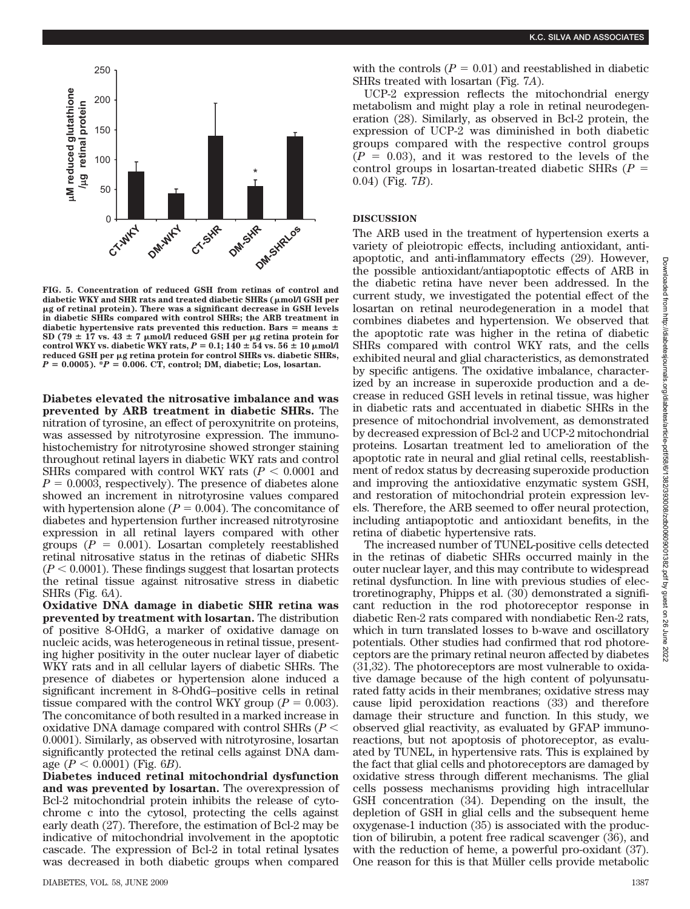

**FIG. 5. Concentration of reduced GSH from retinas of control and diabetic WKY and SHR rats and treated diabetic SHRs (mol/l GSH per g of retinal protein). There was a significant decrease in GSH levels in diabetic SHRs compared with control SHRs; the ARB treatment in** diabetic hypertensive rats prevented this reduction. Bars  $=$  means  $\pm$  $SD (79 \pm 17 \text{ vs. } 43 \pm 7 \text{ }\mu\text{mol/I} \text{ reduced GSH per }\mu\text{g retina protein for }$ control WKY vs. diabetic WKY rats,  $P = 0.1$ ;  $140 \pm 54$  vs.  $56 \pm 10$   $\mu$ mol/l **reduced GSH per g retina protein for control SHRs vs. diabetic SHRs,** *P* - **0.0005). \****P* - **0.006. CT, control; DM, diabetic; Los, losartan.**

**Diabetes elevated the nitrosative imbalance and was prevented by ARB treatment in diabetic SHRs.** The nitration of tyrosine, an effect of peroxynitrite on proteins, was assessed by nitrotyrosine expression. The immunohistochemistry for nitrotyrosine showed stronger staining throughout retinal layers in diabetic WKY rats and control SHRs compared with control WKY rats  $(P < 0.0001$  and  $P = 0.0003$ , respectively). The presence of diabetes alone showed an increment in nitrotyrosine values compared with hypertension alone  $(P = 0.004)$ . The concomitance of diabetes and hypertension further increased nitrotyrosine expression in all retinal layers compared with other groups  $(P = 0.001)$ . Losartan completely reestablished retinal nitrosative status in the retinas of diabetic SHRs  $(P < 0.0001)$ . These findings suggest that losartan protects the retinal tissue against nitrosative stress in diabetic SHRs (Fig. 6*A*).

**Oxidative DNA damage in diabetic SHR retina was prevented by treatment with losartan.** The distribution of positive 8-OHdG, a marker of oxidative damage on nucleic acids, was heterogeneous in retinal tissue, presenting higher positivity in the outer nuclear layer of diabetic WKY rats and in all cellular layers of diabetic SHRs. The presence of diabetes or hypertension alone induced a significant increment in 8-OhdG–positive cells in retinal tissue compared with the control WKY group ( $P = 0.003$ ). The concomitance of both resulted in a marked increase in oxidative DNA damage compared with control SHRs (*P* 0.0001). Similarly, as observed with nitrotyrosine, losartan significantly protected the retinal cells against DNA damage  $(P < 0.0001)$  (Fig. 6*B*).

**Diabetes induced retinal mitochondrial dysfunction and was prevented by losartan.** The overexpression of Bcl-2 mitochondrial protein inhibits the release of cytochrome c into the cytosol, protecting the cells against early death (27). Therefore, the estimation of Bcl-2 may be indicative of mitochondrial involvement in the apoptotic cascade. The expression of Bcl-2 in total retinal lysates was decreased in both diabetic groups when compared

UCP-2 expression reflects the mitochondrial energy metabolism and might play a role in retinal neurodegeneration (28). Similarly, as observed in Bcl-2 protein, the expression of UCP-2 was diminished in both diabetic groups compared with the respective control groups  $(P = 0.03)$ , and it was restored to the levels of the control groups in losartan-treated diabetic SHRs (*P* 0.04) (Fig. 7*B*).

# **DISCUSSION**

The ARB used in the treatment of hypertension exerts a variety of pleiotropic effects, including antioxidant, antiapoptotic, and anti-inflammatory effects (29). However, the possible antioxidant/antiapoptotic effects of ARB in the diabetic retina have never been addressed. In the current study, we investigated the potential effect of the losartan on retinal neurodegeneration in a model that combines diabetes and hypertension. We observed that the apoptotic rate was higher in the retina of diabetic SHRs compared with control WKY rats, and the cells exhibited neural and glial characteristics, as demonstrated by specific antigens. The oxidative imbalance, characterized by an increase in superoxide production and a decrease in reduced GSH levels in retinal tissue, was higher in diabetic rats and accentuated in diabetic SHRs in the presence of mitochondrial involvement, as demonstrated by decreased expression of Bcl-2 and UCP-2 mitochondrial proteins. Losartan treatment led to amelioration of the apoptotic rate in neural and glial retinal cells, reestablishment of redox status by decreasing superoxide production and improving the antioxidative enzymatic system GSH, and restoration of mitochondrial protein expression levels. Therefore, the ARB seemed to offer neural protection, including antiapoptotic and antioxidant benefits, in the retina of diabetic hypertensive rats.

The increased number of TUNEL-positive cells detected in the retinas of diabetic SHRs occurred mainly in the outer nuclear layer, and this may contribute to widespread retinal dysfunction. In line with previous studies of electroretinography, Phipps et al. (30) demonstrated a significant reduction in the rod photoreceptor response in diabetic Ren-2 rats compared with nondiabetic Ren-2 rats, which in turn translated losses to b-wave and oscillatory potentials. Other studies had confirmed that rod photoreceptors are the primary retinal neuron affected by diabetes (31,32). The photoreceptors are most vulnerable to oxidative damage because of the high content of polyunsaturated fatty acids in their membranes; oxidative stress may cause lipid peroxidation reactions (33) and therefore damage their structure and function. In this study, we observed glial reactivity, as evaluated by GFAP immunoreactions, but not apoptosis of photoreceptor, as evaluated by TUNEL, in hypertensive rats. This is explained by the fact that glial cells and photoreceptors are damaged by oxidative stress through different mechanisms. The glial cells possess mechanisms providing high intracellular GSH concentration (34). Depending on the insult, the depletion of GSH in glial cells and the subsequent heme oxygenase-1 induction (35) is associated with the production of bilirubin, a potent free radical scavenger (36), and with the reduction of heme, a powerful pro-oxidant (37). One reason for this is that Müller cells provide metabolic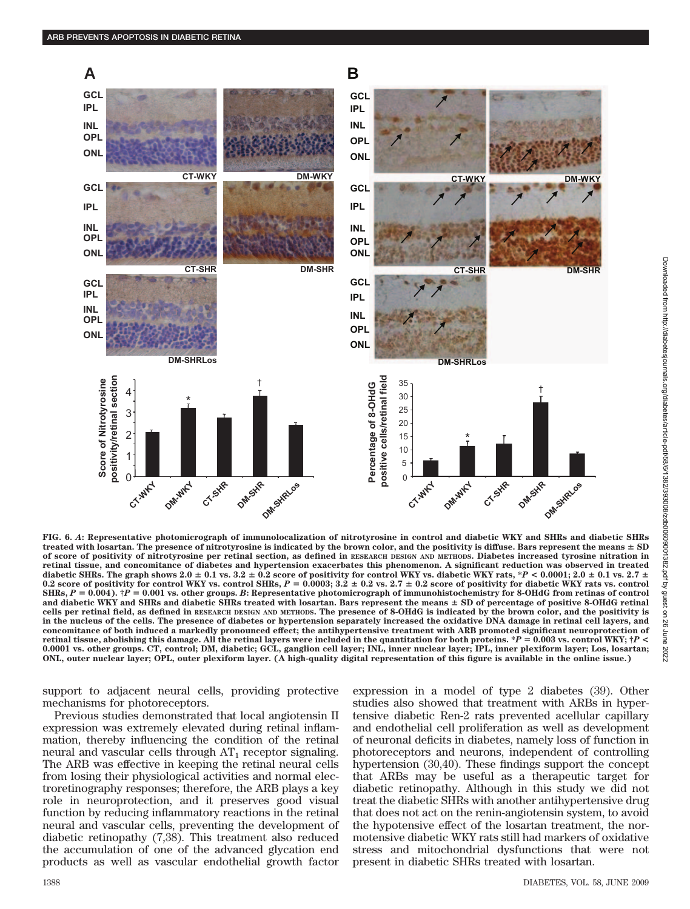

**FIG. 6.** *A***: Representative photomicrograph of immunolocalization of nitrotyrosine in control and diabetic WKY and SHRs and diabetic SHRs treated with losartan. The presence of nitrotyrosine is indicated by the brown color, and the positivity is diffuse. Bars represent the means SD of score of positivity of nitrotyrosine per retinal section, as defined in RESEARCH DESIGN AND METHODS. Diabetes increased tyrosine nitration in retinal tissue, and concomitance of diabetes and hypertension exacerbates this phenomenon. A significant reduction was observed in treated** diabetic SHRs. The graph shows  $2.0 \pm 0.1$  vs.  $3.2 \pm 0.2$  score of positivity for control WKY vs. diabetic WKY rats, \**P* < 0.0001;  $2.0 \pm 0.1$  vs.  $2.7 \pm 0.1$  $0.2$  score of positivity for control WKY vs. control SHRs,  $P = 0.0003; 3.2 \pm 0.2$  vs.  $2.7 \pm 0.2$  score of positivity for diabetic WKY rats vs. control  $SHRs$ ,  $P = 0.004$ ).  $\dagger P = 0.001$  vs. other groups. B: Representative photomicrograph of immunohistochemistry for 8-OHdG from retinas of control **and diabetic WKY and SHRs and diabetic SHRs treated with losartan. Bars represent the means SD of percentage of positive 8-OHdG retinal cells per retinal field, as defined in RESEARCH DESIGN AND METHODS. The presence of 8-OHdG is indicated by the brown color, and the positivity is in the nucleus of the cells. The presence of diabetes or hypertension separately increased the oxidative DNA damage in retinal cell layers, and concomitance of both induced a markedly pronounced effect; the antihypertensive treatment with ARB promoted significant neuroprotection of retinal tissue, abolishing this damage. All the retinal layers were included in the quantitation for both proteins. \****P* - **0.003 vs. control WKY; †***P* **< 0.0001 vs. other groups. CT, control; DM, diabetic; GCL, ganglion cell layer; INL, inner nuclear layer; IPL, inner plexiform layer; Los, losartan; ONL, outer nuclear layer; OPL, outer plexiform layer. (A high-quality digital representation of this figure is available in the online issue.)**

support to adjacent neural cells, providing protective mechanisms for photoreceptors.

Previous studies demonstrated that local angiotensin II expression was extremely elevated during retinal inflammation, thereby influencing the condition of the retinal neural and vascular cells through  $AT_1$  receptor signaling. The ARB was effective in keeping the retinal neural cells from losing their physiological activities and normal electroretinography responses; therefore, the ARB plays a key role in neuroprotection, and it preserves good visual function by reducing inflammatory reactions in the retinal neural and vascular cells, preventing the development of diabetic retinopathy (7,38). This treatment also reduced the accumulation of one of the advanced glycation end products as well as vascular endothelial growth factor expression in a model of type 2 diabetes (39). Other studies also showed that treatment with ARBs in hypertensive diabetic Ren-2 rats prevented acellular capillary and endothelial cell proliferation as well as development of neuronal deficits in diabetes, namely loss of function in photoreceptors and neurons, independent of controlling hypertension (30,40). These findings support the concept that ARBs may be useful as a therapeutic target for diabetic retinopathy. Although in this study we did not treat the diabetic SHRs with another antihypertensive drug that does not act on the renin-angiotensin system, to avoid the hypotensive effect of the losartan treatment, the normotensive diabetic WKY rats still had markers of oxidative stress and mitochondrial dysfunctions that were not present in diabetic SHRs treated with losartan.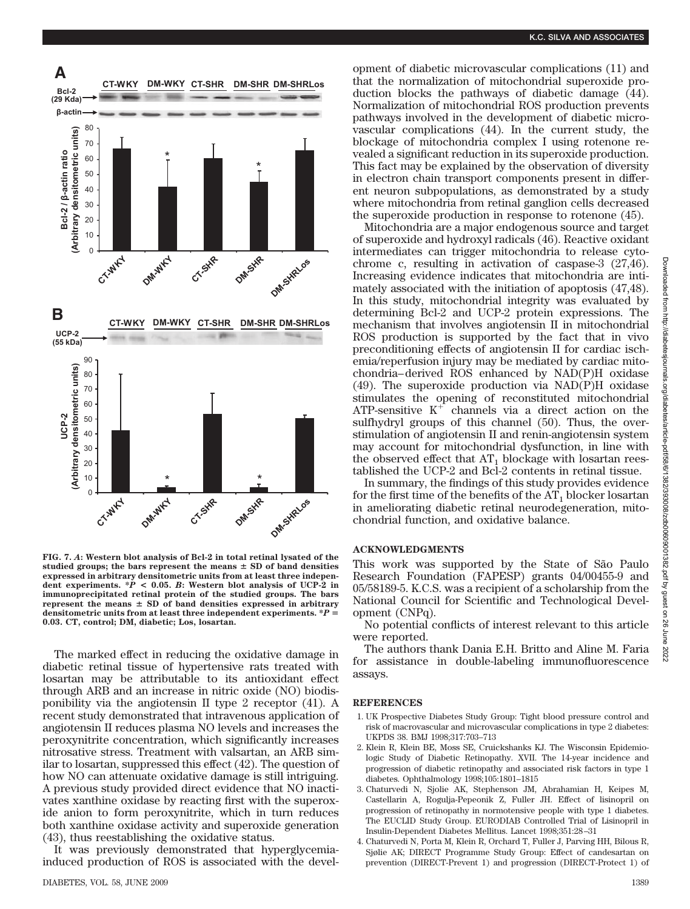

**FIG. 7.** *A***: Western blot analysis of Bcl-2 in total retinal lysated of the** studied groups; the bars represent the means  $\pm$  SD of band densities **expressed in arbitrary densitometric units from at least three indepen**dent experiments.  $*P < 0.05$ . *B*: Western blot analysis of UCP-2 in **immunoprecipitated retinal protein of the studied groups. The bars represent the means SD of band densities expressed in arbitrary densitometric units from at least three independent experiments. \****P* - **0.03. CT, control; DM, diabetic; Los, losartan.**

The marked effect in reducing the oxidative damage in diabetic retinal tissue of hypertensive rats treated with losartan may be attributable to its antioxidant effect through ARB and an increase in nitric oxide (NO) biodisponibility via the angiotensin II type 2 receptor (41). A recent study demonstrated that intravenous application of angiotensin II reduces plasma NO levels and increases the peroxynitrite concentration, which significantly increases nitrosative stress. Treatment with valsartan, an ARB similar to losartan, suppressed this effect (42). The question of how NO can attenuate oxidative damage is still intriguing. A previous study provided direct evidence that NO inactivates xanthine oxidase by reacting first with the superoxide anion to form peroxynitrite, which in turn reduces both xanthine oxidase activity and superoxide generation (43), thus reestablishing the oxidative status.

It was previously demonstrated that hyperglycemiainduced production of ROS is associated with the development of diabetic microvascular complications (11) and that the normalization of mitochondrial superoxide production blocks the pathways of diabetic damage (44). Normalization of mitochondrial ROS production prevents pathways involved in the development of diabetic microvascular complications (44). In the current study, the blockage of mitochondria complex I using rotenone revealed a significant reduction in its superoxide production. This fact may be explained by the observation of diversity in electron chain transport components present in different neuron subpopulations, as demonstrated by a study where mitochondria from retinal ganglion cells decreased the superoxide production in response to rotenone (45).

Mitochondria are a major endogenous source and target of superoxide and hydroxyl radicals (46). Reactive oxidant intermediates can trigger mitochondria to release cytochrome c, resulting in activation of caspase-3 (27,46). Increasing evidence indicates that mitochondria are intimately associated with the initiation of apoptosis (47,48). In this study, mitochondrial integrity was evaluated by determining Bcl-2 and UCP-2 protein expressions. The mechanism that involves angiotensin II in mitochondrial ROS production is supported by the fact that in vivo preconditioning effects of angiotensin II for cardiac ischemia/reperfusion injury may be mediated by cardiac mitochondria– derived ROS enhanced by NAD(P)H oxidase (49). The superoxide production via NAD(P)H oxidase stimulates the opening of reconstituted mitochondrial ATP-sensitive  $K^+$  channels via a direct action on the sulfhydryl groups of this channel (50). Thus, the overstimulation of angiotensin II and renin-angiotensin system may account for mitochondrial dysfunction, in line with the observed effect that  $AT_1$  blockage with losartan reestablished the UCP-2 and Bcl-2 contents in retinal tissue.

In summary, the findings of this study provides evidence for the first time of the benefits of the  $AT_1$  blocker losartan in ameliorating diabetic retinal neurodegeneration, mitochondrial function, and oxidative balance.

#### **ACKNOWLEDGMENTS**

This work was supported by the State of São Paulo Research Foundation (FAPESP) grants 04/00455-9 and 05/58189-5. K.C.S. was a recipient of a scholarship from the National Council for Scientific and Technological Development (CNPq).

No potential conflicts of interest relevant to this article were reported.

The authors thank Dania E.H. Britto and Aline M. Faria for assistance in double-labeling immunofluorescence assays.

## **REFERENCES**

- 1. UK Prospective Diabetes Study Group: Tight blood pressure control and risk of macrovascular and microvascular complications in type 2 diabetes: UKPDS 38. BMJ 1998;317:703–713
- 2. Klein R, Klein BE, Moss SE, Cruickshanks KJ. The Wisconsin Epidemiologic Study of Diabetic Retinopathy. XVII. The 14-year incidence and progression of diabetic retinopathy and associated risk factors in type 1 diabetes. Ophthalmology 1998;105:1801–1815
- 3. Chaturvedi N, Sjolie AK, Stephenson JM, Abrahamian H, Keipes M, Castellarin A, Rogulja-Pepeonik Z, Fuller JH. Effect of lisinopril on progression of retinopathy in normotensive people with type 1 diabetes. The EUCLID Study Group. EURODIAB Controlled Trial of Lisinopril in Insulin-Dependent Diabetes Mellitus. Lancet 1998;351:28 –31
- 4. Chaturvedi N, Porta M, Klein R, Orchard T, Fuller J, Parving HH, Bilous R, Sjølie AK; DIRECT Programme Study Group: Effect of candesartan on prevention (DIRECT-Prevent 1) and progression (DIRECT-Protect 1) of